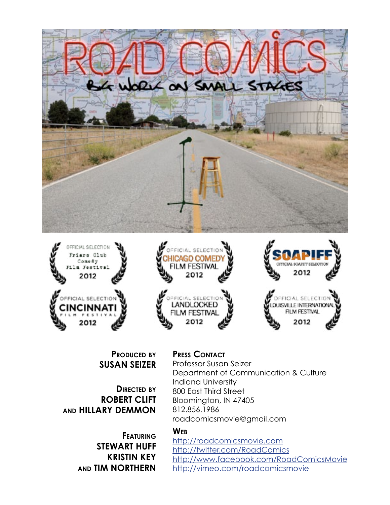





**Produced by Susan Seizer**

**Directed by Robert Clift and Hillary Demmon**

> **Featuring Stewart Huff Kristin Key and Tim Northern**

**Press Contact**

Professor Susan Seizer Department of Communication & Culture Indiana University 800 East Third Street Bloomington, IN 47405 812.856.1986 roadcomicsmovie@gmail.com

#### **Web**

<http://roadcomicsmovie.com> <http://twitter.com/RoadComics> <http://www.facebook.com/RoadComicsMovie> [http://vimeo.com/roadcomicsmovie](http://www.vimeo.com/roadcomicsmovie )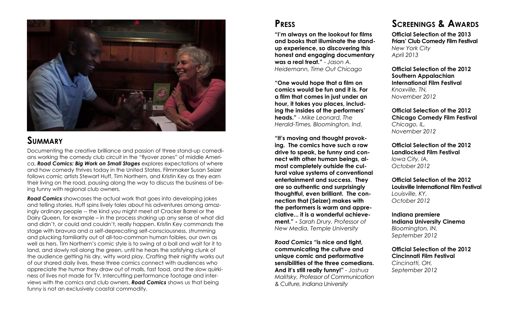

## **Summary**

## **Press**

**"One would hope that a film on comics would be fun and it is. For a film that comes in just under an hour, it takes you places, including the insides of the performers' heads."** - *Mike Leonard, The Herald-Times, Bloomington, Ind.*

**"I'm always on the lookout for films and books that illuminate the standup experience, so discovering this honest and engaging documentary was a real treat."** - *Jason A. Heidemann, Time Out Chicago* **Official Selection of the 2013 Friars' Club Comedy Film Festival** *New York City April 2013* **Official Selection of the 2012** 

**"It's moving and thought provoking. The comics have such a raw drive to speak, be funny and connect with other human beings, almost completely outside the cultural value systems of conventional entertainment and success. They are so authentic and surprisingly thoughtful, even brilliant. The connection that (Seizer) makes with the performers is warm and appreciative... it is a wonderful achievement." -** *Sarah Drury, Professor of New Media, Temple University*

*Road Comics* **"is nice and tight, communicating the culture and unique comic and performative sensibilities of the three comedians. And it's still really funny!"** *- Joshua Malitsky, Professor of Communication & Culture, Indiana University*

## **Screenings & Awards**

**Southern Appalachian International Film Festival**

*Knoxville, TN, November 2012*

**Official Selection of the 2012 Chicago Comedy Film Festival** *Chicago, IL, November 2012* 

**Official Selection of the 2012 Landlocked Film Festival** *Iowa City, IA, October 2012*

**Official Selection of the 2012 Louisville International Film Festival**

*Louisville, KY, October 2012*

**Indiana premiere Indiana University Cinema** *Bloomington, IN, September 2012*

**Official Selection of the 2012 Cincinnati Film Festival**

*Cincinatti, OH, September 2012*

Documenting the creative brilliance and passion of three stand-up comedians working the comedy club circuit in the "flyover zones" of middle America, *Road Comics: Big Work on Small Stages* explores expectations of where and how comedy thrives today in the United States. Filmmaker Susan Seizer follows comic artists Stewart Huff, Tim Northern, and Kristin Key as they earn their living on the road, pausing along the way to discuss the business of being funny with regional club owners.

*Road Comics* showcases the actual work that goes into developing jokes and telling stories. Huff spins lively tales about his adventures among amazingly ordinary people -- the kind you might meet at Cracker Barrel or the Dairy Queen, for example – in the process shaking up any sense of what did and didn't, or could and couldn't, really happen. Kristin Key commands the stage with bravura and a self-deprecating self-consciousness, strumming and plucking familiarity out of all-too-common human foibles, our own as well as hers. Tim Northern's comic style is to swing at a ball and wait for it to land, and slowly roll along the green, until he hears the satisfying clunk of the audience getting his dry, witty word play. Crafting their nightly works out of our shared daily lives, these three comics connect with audiences who appreciate the humor they draw out of malls, fast food, and the slow quirkiness of lives not made for TV. Intercutting performance footage and interviews with the comics and club owners, *Road Comics* shows us that being funny is not an exclusively coastal commodity.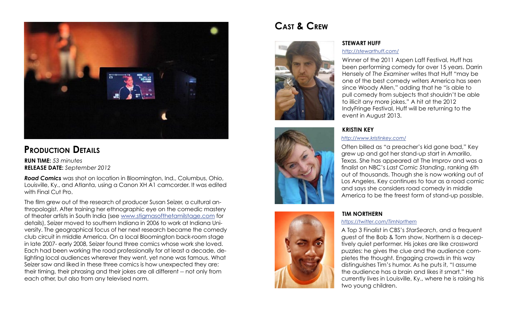

## **Production Details**

*Road Comics* was shot on location in Bloomington, Ind., Columbus, Ohio, Louisville, Ky., and Atlanta, using a Canon XH A1 camcorder. It was edited with Final Cut Pro.

The film grew out of the research of producer Susan Seizer, a cultural anthropologist. After training her ethnographic eye on the comedic mastery of theater artists in South India (see [www.stigmasofthetamilstage.com](http://www.stigmasofthetamilstage.com) for details), Seizer moved to southern Indiana in 2006 to work at Indiana University. The geographical focus of her next research became the comedy club circuit in middle America. On a local Bloomington back-room stage in late 2007- early 2008, Seizer found three comics whose work she loved. Each had been working the road professionally for at least a decade, delighting local audiences wherever they went, yet none was famous. What Seizer saw and liked in these three comics is how unexpected they are: their timing, their phrasing and their jokes are all different -- not only from each other, but also from any televised norm.

# **Cast & Crew**



Often billed as "a preacher's kid gone bad," Key grew up and got her stand-up start in Amarillo, Texas. She has appeared at The Improv and was a finalist on NBC's *Last Comic Standing*, ranking 6th out of thousands. Though she is now working out of Los Angeles, Key continues to tour as a road comic and says she considers road comedy in middle America to be the freest form of stand-up possible.

Winner of the 2011 Aspen Laff Festival, Huff has been performing comedy for over 15 years. Darrin Hensely of *The Examiner* writes that Huff "may be one of the best comedy writers America has seen since Woody Allen," adding that he "is able to pull comedy from subjects that shouldn't be able to illicit any more jokes." A hit at the 2012 IndyFringe Festival, Huff will be returning to the event in August 2013. *[http://stewarthuff.com/](http://www.stewarthuff.com/)*

A Top 3 Finalist in CBS's *StarSearch*, and a frequent guest of the Bob & Tom show, Northern is a deceptively quiet performer. His jokes are like crossword puzzles: he gives the clue and the audience completes the thought. Engaging crowds in this way distinguishes Tim's humor. As he puts it, "I assume the audience has a brain and likes it smart." He currently lives in Louisville, Ky., where he is raising his two young children.



### **Stewart Huff**

### **Kristin Key**

# **Tim Northern**

**Run Time:** *53 minutes* **Release date:** *September 2012*

### *<http://www.kristinkey.com/>*

#### *<https://twitter.com/TimNorthern>*